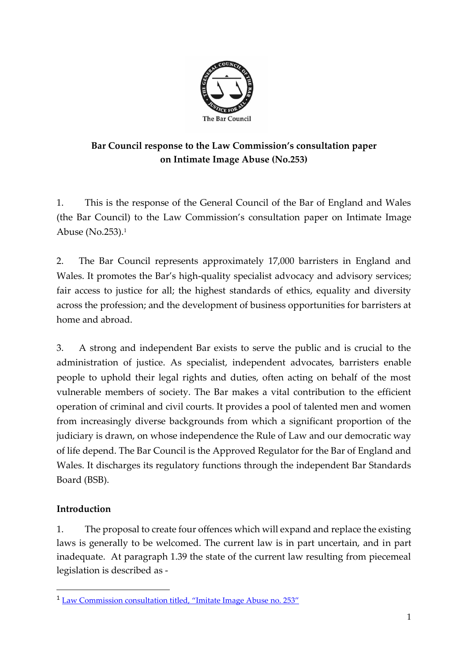

# **Bar Council response to the Law Commission's consultation paper on Intimate Image Abuse (No.253)**

1. This is the response of the General Council of the Bar of England and Wales (the Bar Council) to the Law Commission's consultation paper on Intimate Image Abuse (No.253). 1

2. The Bar Council represents approximately 17,000 barristers in England and Wales. It promotes the Bar's high-quality specialist advocacy and advisory services; fair access to justice for all; the highest standards of ethics, equality and diversity across the profession; and the development of business opportunities for barristers at home and abroad.

3. A strong and independent Bar exists to serve the public and is crucial to the administration of justice. As specialist, independent advocates, barristers enable people to uphold their legal rights and duties, often acting on behalf of the most vulnerable members of society. The Bar makes a vital contribution to the efficient operation of criminal and civil courts. It provides a pool of talented men and women from increasingly diverse backgrounds from which a significant proportion of the judiciary is drawn, on whose independence the Rule of Law and our democratic way of life depend. The Bar Council is the Approved Regulator for the Bar of England and Wales. It discharges its regulatory functions through the independent Bar Standards Board (BSB).

# **Introduction**

1. The proposal to create four offences which will expand and replace the existing laws is generally to be welcomed. The current law is in part uncertain, and in part inadequate. At paragraph 1.39 the state of the current law resulting from piecemeal legislation is described as -

<sup>1</sup> [Law Commission consultation titled, "Imitate Image Abuse](https://www.lawcom.gov.uk/project/taking-making-and-sharing-intimate-images-without-consent/) no. 253"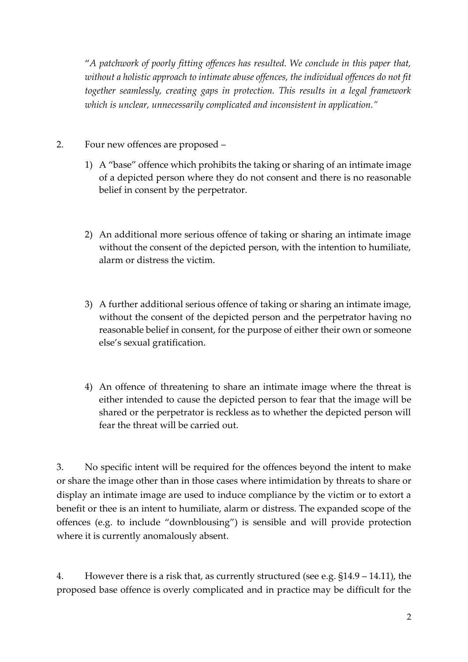"*A patchwork of poorly fitting offences has resulted. We conclude in this paper that, without a holistic approach to intimate abuse offences, the individual offences do not fit together seamlessly, creating gaps in protection. This results in a legal framework which is unclear, unnecessarily complicated and inconsistent in application."*

- 2. Four new offences are proposed
	- 1) A "base" offence which prohibits the taking or sharing of an intimate image of a depicted person where they do not consent and there is no reasonable belief in consent by the perpetrator.
	- 2) An additional more serious offence of taking or sharing an intimate image without the consent of the depicted person, with the intention to humiliate, alarm or distress the victim.
	- 3) A further additional serious offence of taking or sharing an intimate image, without the consent of the depicted person and the perpetrator having no reasonable belief in consent, for the purpose of either their own or someone else's sexual gratification.
	- 4) An offence of threatening to share an intimate image where the threat is either intended to cause the depicted person to fear that the image will be shared or the perpetrator is reckless as to whether the depicted person will fear the threat will be carried out.

3. No specific intent will be required for the offences beyond the intent to make or share the image other than in those cases where intimidation by threats to share or display an intimate image are used to induce compliance by the victim or to extort a benefit or thee is an intent to humiliate, alarm or distress. The expanded scope of the offences (e.g. to include "downblousing") is sensible and will provide protection where it is currently anomalously absent.

4. However there is a risk that, as currently structured (see e.g. §14.9 – 14.11), the proposed base offence is overly complicated and in practice may be difficult for the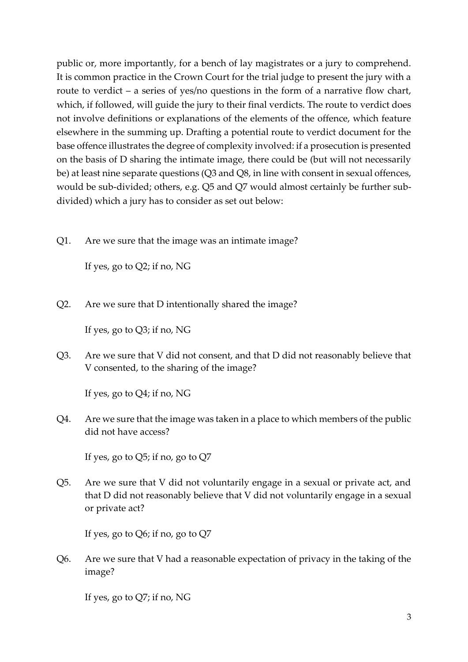public or, more importantly, for a bench of lay magistrates or a jury to comprehend. It is common practice in the Crown Court for the trial judge to present the jury with a route to verdict – a series of yes/no questions in the form of a narrative flow chart, which, if followed, will guide the jury to their final verdicts. The route to verdict does not involve definitions or explanations of the elements of the offence, which feature elsewhere in the summing up. Drafting a potential route to verdict document for the base offence illustrates the degree of complexity involved: if a prosecution is presented on the basis of D sharing the intimate image, there could be (but will not necessarily be) at least nine separate questions (Q3 and Q8, in line with consent in sexual offences, would be sub-divided; others, e.g. Q5 and Q7 would almost certainly be further subdivided) which a jury has to consider as set out below:

Q1. Are we sure that the image was an intimate image?

If yes, go to Q2; if no, NG

Q2. Are we sure that D intentionally shared the image?

If yes, go to Q3; if no, NG

Q3. Are we sure that V did not consent, and that D did not reasonably believe that V consented, to the sharing of the image?

If yes, go to Q4; if no, NG

Q4. Are we sure that the image was taken in a place to which members of the public did not have access?

If yes, go to Q5; if no, go to Q7

Q5. Are we sure that V did not voluntarily engage in a sexual or private act, and that D did not reasonably believe that V did not voluntarily engage in a sexual or private act?

If yes, go to Q6; if no, go to Q7

Q6. Are we sure that V had a reasonable expectation of privacy in the taking of the image?

If yes, go to Q7; if no, NG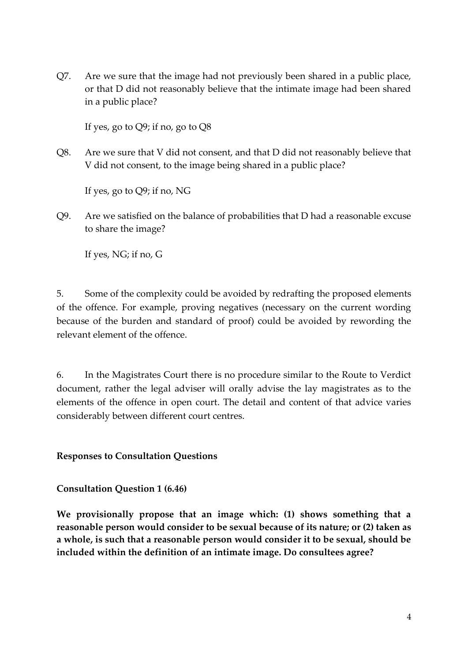Q7. Are we sure that the image had not previously been shared in a public place, or that D did not reasonably believe that the intimate image had been shared in a public place?

If yes, go to  $Q9$ ; if no, go to  $Q8$ 

Q8. Are we sure that V did not consent, and that D did not reasonably believe that V did not consent, to the image being shared in a public place?

If yes, go to Q9; if no, NG

Q9. Are we satisfied on the balance of probabilities that D had a reasonable excuse to share the image?

If yes, NG; if no, G

5. Some of the complexity could be avoided by redrafting the proposed elements of the offence. For example, proving negatives (necessary on the current wording because of the burden and standard of proof) could be avoided by rewording the relevant element of the offence.

6. In the Magistrates Court there is no procedure similar to the Route to Verdict document, rather the legal adviser will orally advise the lay magistrates as to the elements of the offence in open court. The detail and content of that advice varies considerably between different court centres.

### **Responses to Consultation Questions**

**Consultation Question 1 (6.46)**

**We provisionally propose that an image which: (1) shows something that a reasonable person would consider to be sexual because of its nature; or (2) taken as a whole, is such that a reasonable person would consider it to be sexual, should be included within the definition of an intimate image. Do consultees agree?**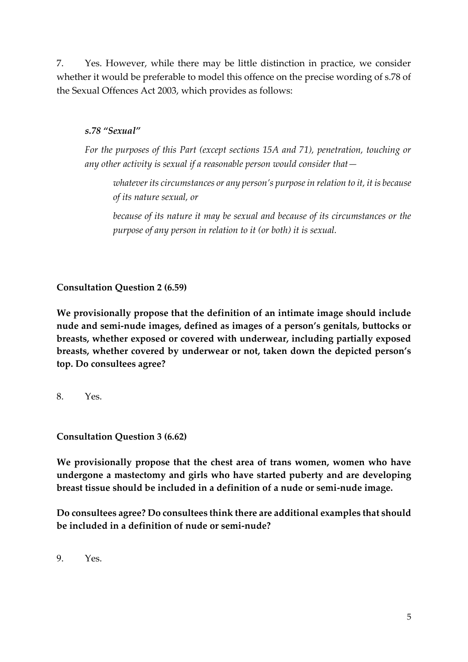7. Yes. However, while there may be little distinction in practice, we consider whether it would be preferable to model this offence on the precise wording of s.78 of the Sexual Offences Act 2003, which provides as follows:

### *s.78 "Sexual"*

*For the purposes of this Part (except sections 15A and 71), penetration, touching or any other activity is sexual if a reasonable person would consider that—*

*whatever its circumstances or any person's purpose in relation to it, it is because of its nature sexual, or*

*because of its nature it may be sexual and because of its circumstances or the purpose of any person in relation to it (or both) it is sexual.*

**Consultation Question 2 (6.59)**

**We provisionally propose that the definition of an intimate image should include nude and semi-nude images, defined as images of a person's genitals, buttocks or breasts, whether exposed or covered with underwear, including partially exposed breasts, whether covered by underwear or not, taken down the depicted person's top. Do consultees agree?** 

8. Yes.

**Consultation Question 3 (6.62)** 

**We provisionally propose that the chest area of trans women, women who have undergone a mastectomy and girls who have started puberty and are developing breast tissue should be included in a definition of a nude or semi-nude image.** 

**Do consultees agree? Do consultees think there are additional examples that should be included in a definition of nude or semi-nude?** 

9. Yes.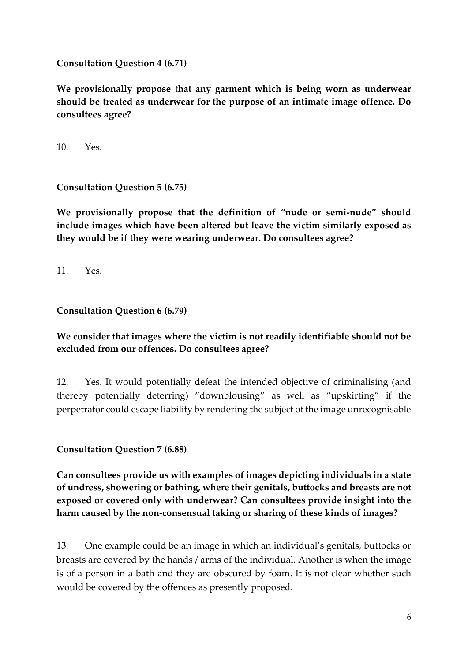**Consultation Question 4 (6.71)** 

**We provisionally propose that any garment which is being worn as underwear should be treated as underwear for the purpose of an intimate image offence. Do consultees agree?** 

10. Yes.

**Consultation Question 5 (6.75)** 

**We provisionally propose that the definition of "nude or semi-nude" should include images which have been altered but leave the victim similarly exposed as they would be if they were wearing underwear. Do consultees agree?** 

11. Yes.

### **Consultation Question 6 (6.79)**

### **We consider that images where the victim is not readily identifiable should not be excluded from our offences. Do consultees agree?**

12. Yes. It would potentially defeat the intended objective of criminalising (and thereby potentially deterring) "downblousing" as well as "upskirting" if the perpetrator could escape liability by rendering the subject of the image unrecognisable

**Consultation Question 7 (6.88)**

**Can consultees provide us with examples of images depicting individuals in a state of undress, showering or bathing, where their genitals, buttocks and breasts are not exposed or covered only with underwear? Can consultees provide insight into the harm caused by the non-consensual taking or sharing of these kinds of images?** 

13. One example could be an image in which an individual's genitals, buttocks or breasts are covered by the hands / arms of the individual. Another is when the image is of a person in a bath and they are obscured by foam. It is not clear whether such would be covered by the offences as presently proposed.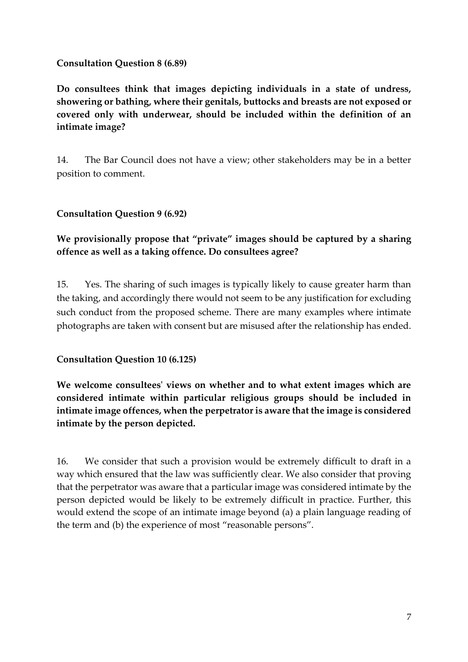### **Consultation Question 8 (6.89)**

**Do consultees think that images depicting individuals in a state of undress, showering or bathing, where their genitals, buttocks and breasts are not exposed or covered only with underwear, should be included within the definition of an intimate image?** 

14. The Bar Council does not have a view; other stakeholders may be in a better position to comment.

# **Consultation Question 9 (6.92)**

# **We provisionally propose that "private" images should be captured by a sharing offence as well as a taking offence. Do consultees agree?**

15. Yes. The sharing of such images is typically likely to cause greater harm than the taking, and accordingly there would not seem to be any justification for excluding such conduct from the proposed scheme. There are many examples where intimate photographs are taken with consent but are misused after the relationship has ended.

### **Consultation Question 10 (6.125)**

**We welcome consultees' views on whether and to what extent images which are considered intimate within particular religious groups should be included in intimate image offences, when the perpetrator is aware that the image is considered intimate by the person depicted.** 

16. We consider that such a provision would be extremely difficult to draft in a way which ensured that the law was sufficiently clear. We also consider that proving that the perpetrator was aware that a particular image was considered intimate by the person depicted would be likely to be extremely difficult in practice. Further, this would extend the scope of an intimate image beyond (a) a plain language reading of the term and (b) the experience of most "reasonable persons".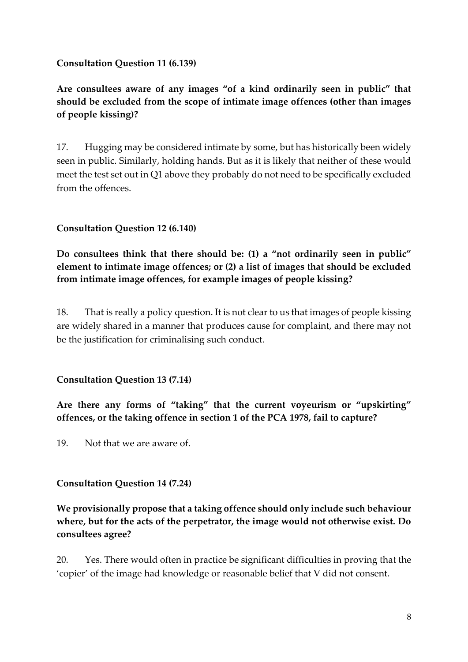### **Consultation Question 11 (6.139)**

# **Are consultees aware of any images "of a kind ordinarily seen in public" that should be excluded from the scope of intimate image offences (other than images of people kissing)?**

17. Hugging may be considered intimate by some, but has historically been widely seen in public. Similarly, holding hands. But as it is likely that neither of these would meet the test set out in Q1 above they probably do not need to be specifically excluded from the offences.

### **Consultation Question 12 (6.140)**

**Do consultees think that there should be: (1) a "not ordinarily seen in public" element to intimate image offences; or (2) a list of images that should be excluded from intimate image offences, for example images of people kissing?** 

18. That is really a policy question. It is not clear to us that images of people kissing are widely shared in a manner that produces cause for complaint, and there may not be the justification for criminalising such conduct.

### **Consultation Question 13 (7.14)**

**Are there any forms of "taking" that the current voyeurism or "upskirting" offences, or the taking offence in section 1 of the PCA 1978, fail to capture?** 

19. Not that we are aware of.

### **Consultation Question 14 (7.24)**

# **We provisionally propose that a taking offence should only include such behaviour where, but for the acts of the perpetrator, the image would not otherwise exist. Do consultees agree?**

20. Yes. There would often in practice be significant difficulties in proving that the 'copier' of the image had knowledge or reasonable belief that V did not consent.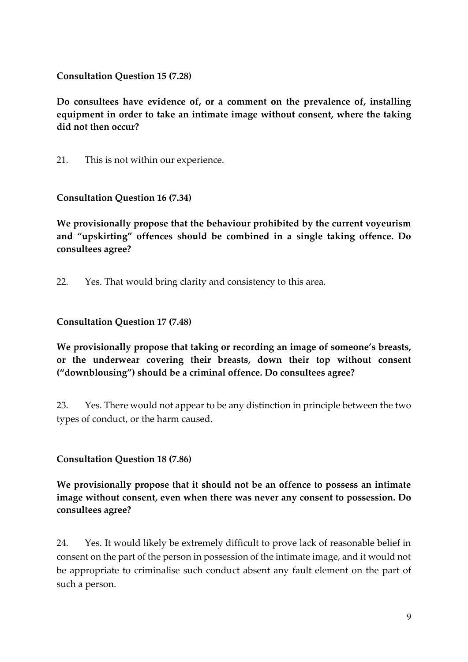**Consultation Question 15 (7.28)** 

**Do consultees have evidence of, or a comment on the prevalence of, installing equipment in order to take an intimate image without consent, where the taking did not then occur?** 

21. This is not within our experience.

**Consultation Question 16 (7.34)** 

**We provisionally propose that the behaviour prohibited by the current voyeurism and "upskirting" offences should be combined in a single taking offence. Do consultees agree?** 

22. Yes. That would bring clarity and consistency to this area.

#### **Consultation Question 17 (7.48)**

**We provisionally propose that taking or recording an image of someone's breasts, or the underwear covering their breasts, down their top without consent ("downblousing") should be a criminal offence. Do consultees agree?** 

23. Yes. There would not appear to be any distinction in principle between the two types of conduct, or the harm caused.

**Consultation Question 18 (7.86)** 

**We provisionally propose that it should not be an offence to possess an intimate image without consent, even when there was never any consent to possession. Do consultees agree?** 

24. Yes. It would likely be extremely difficult to prove lack of reasonable belief in consent on the part of the person in possession of the intimate image, and it would not be appropriate to criminalise such conduct absent any fault element on the part of such a person.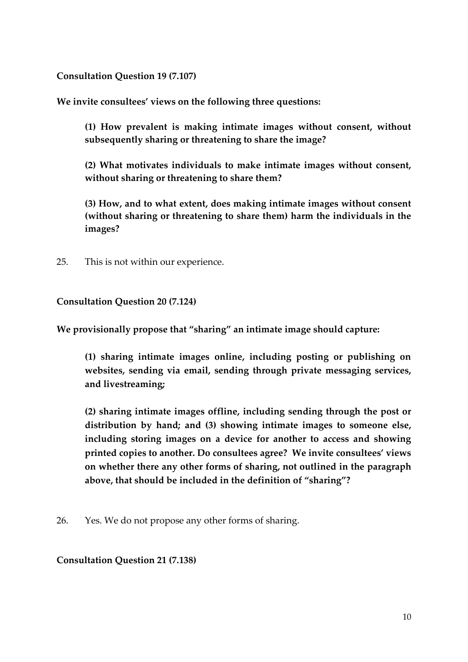**Consultation Question 19 (7.107)** 

**We invite consultees' views on the following three questions:** 

**(1) How prevalent is making intimate images without consent, without subsequently sharing or threatening to share the image?** 

**(2) What motivates individuals to make intimate images without consent, without sharing or threatening to share them?** 

**(3) How, and to what extent, does making intimate images without consent (without sharing or threatening to share them) harm the individuals in the images?** 

25. This is not within our experience.

### **Consultation Question 20 (7.124)**

**We provisionally propose that "sharing" an intimate image should capture:**

**(1) sharing intimate images online, including posting or publishing on websites, sending via email, sending through private messaging services, and livestreaming;** 

**(2) sharing intimate images offline, including sending through the post or distribution by hand; and (3) showing intimate images to someone else, including storing images on a device for another to access and showing printed copies to another. Do consultees agree? We invite consultees' views on whether there any other forms of sharing, not outlined in the paragraph above, that should be included in the definition of "sharing"?**

26. Yes. We do not propose any other forms of sharing.

### **Consultation Question 21 (7.138)**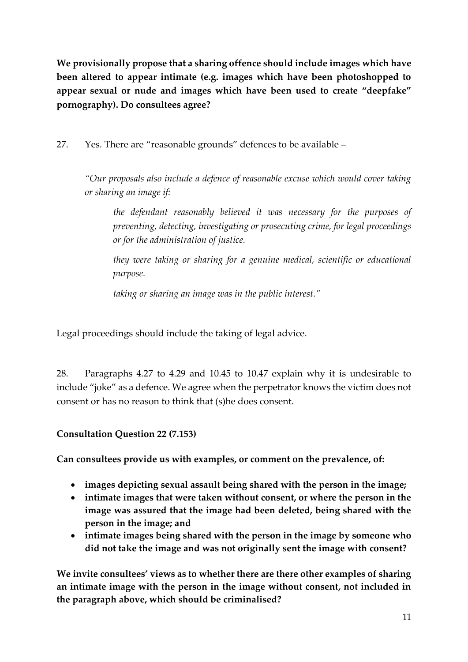**We provisionally propose that a sharing offence should include images which have been altered to appear intimate (e.g. images which have been photoshopped to appear sexual or nude and images which have been used to create "deepfake" pornography). Do consultees agree?**

27. Yes. There are "reasonable grounds" defences to be available –

*"Our proposals also include a defence of reasonable excuse which would cover taking or sharing an image if:*

*the defendant reasonably believed it was necessary for the purposes of preventing, detecting, investigating or prosecuting crime, for legal proceedings or for the administration of justice.*

*they were taking or sharing for a genuine medical, scientific or educational purpose.*

*taking or sharing an image was in the public interest."*

Legal proceedings should include the taking of legal advice.

28. Paragraphs 4.27 to 4.29 and 10.45 to 10.47 explain why it is undesirable to include "joke" as a defence. We agree when the perpetrator knows the victim does not consent or has no reason to think that (s)he does consent.

# **Consultation Question 22 (7.153)**

**Can consultees provide us with examples, or comment on the prevalence, of:** 

- **images depicting sexual assault being shared with the person in the image;**
- **intimate images that were taken without consent, or where the person in the image was assured that the image had been deleted, being shared with the person in the image; and**
- **intimate images being shared with the person in the image by someone who did not take the image and was not originally sent the image with consent?**

**We invite consultees' views as to whether there are there other examples of sharing an intimate image with the person in the image without consent, not included in the paragraph above, which should be criminalised?**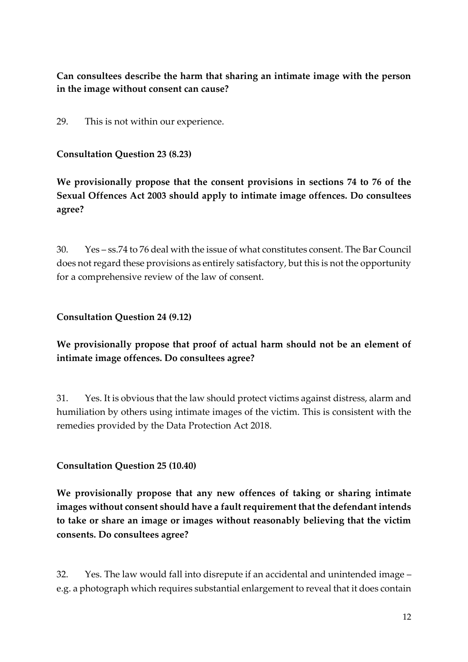# **Can consultees describe the harm that sharing an intimate image with the person in the image without consent can cause?**

29. This is not within our experience.

### **Consultation Question 23 (8.23)**

**We provisionally propose that the consent provisions in sections 74 to 76 of the Sexual Offences Act 2003 should apply to intimate image offences. Do consultees agree?**

30. Yes – ss.74 to 76 deal with the issue of what constitutes consent. The Bar Council does not regard these provisions as entirely satisfactory, but this is not the opportunity for a comprehensive review of the law of consent.

# **Consultation Question 24 (9.12)**

**We provisionally propose that proof of actual harm should not be an element of intimate image offences. Do consultees agree?**

31. Yes. It is obvious that the law should protect victims against distress, alarm and humiliation by others using intimate images of the victim. This is consistent with the remedies provided by the Data Protection Act 2018.

# **Consultation Question 25 (10.40)**

**We provisionally propose that any new offences of taking or sharing intimate images without consent should have a fault requirement that the defendant intends to take or share an image or images without reasonably believing that the victim consents. Do consultees agree?**

32. Yes. The law would fall into disrepute if an accidental and unintended image – e.g. a photograph which requires substantial enlargement to reveal that it does contain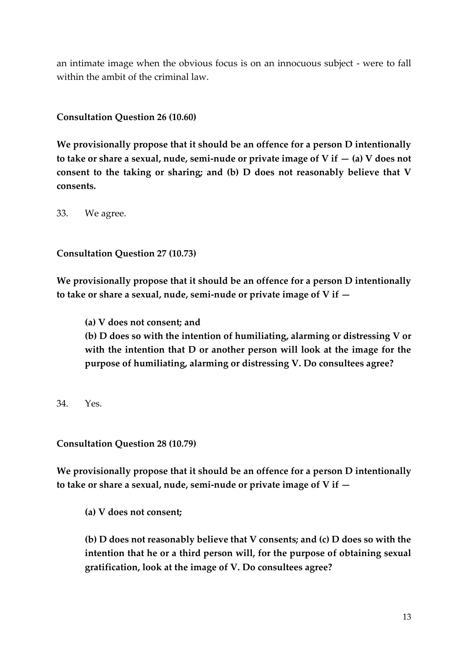an intimate image when the obvious focus is on an innocuous subject - were to fall within the ambit of the criminal law.

**Consultation Question 26 (10.60)**

**We provisionally propose that it should be an offence for a person D intentionally to take or share a sexual, nude, semi-nude or private image of V if — (a) V does not consent to the taking or sharing; and (b) D does not reasonably believe that V consents.**

33. We agree.

**Consultation Question 27 (10.73)**

**We provisionally propose that it should be an offence for a person D intentionally to take or share a sexual, nude, semi-nude or private image of V if —**

**(a) V does not consent; and (b) D does so with the intention of humiliating, alarming or distressing V or with the intention that D or another person will look at the image for the purpose of humiliating, alarming or distressing V. Do consultees agree?**

34. Yes.

**Consultation Question 28 (10.79)**

**We provisionally propose that it should be an offence for a person D intentionally to take or share a sexual, nude, semi-nude or private image of V if —**

**(a) V does not consent;** 

**(b) D does not reasonably believe that V consents; and (c) D does so with the intention that he or a third person will, for the purpose of obtaining sexual gratification, look at the image of V. Do consultees agree?**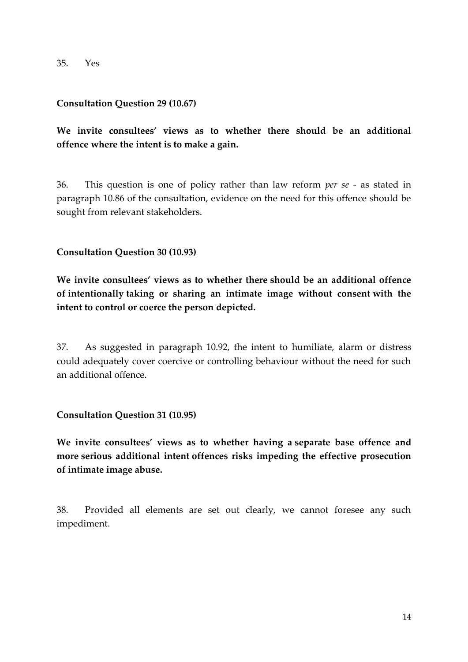35. Yes

#### **Consultation Question 29 (10.67)**

**We invite consultees' views as to whether there should be an additional offence where the intent is to make a gain.**

36. This question is one of policy rather than law reform *per se* - as stated in paragraph 10.86 of the consultation, evidence on the need for this offence should be sought from relevant stakeholders.

#### **Consultation Question 30 (10.93)**

**We invite consultees' views as to whether there should be an additional offence of intentionally taking or sharing an intimate image without consent with the intent to control or coerce the person depicted.** 

37. As suggested in paragraph 10.92, the intent to humiliate, alarm or distress could adequately cover coercive or controlling behaviour without the need for such an additional offence.

#### **Consultation Question 31 (10.95)**

**We invite consultees' views as to whether having a separate base offence and more serious additional intent offences risks impeding the effective prosecution of intimate image abuse.**

38. Provided all elements are set out clearly, we cannot foresee any such impediment.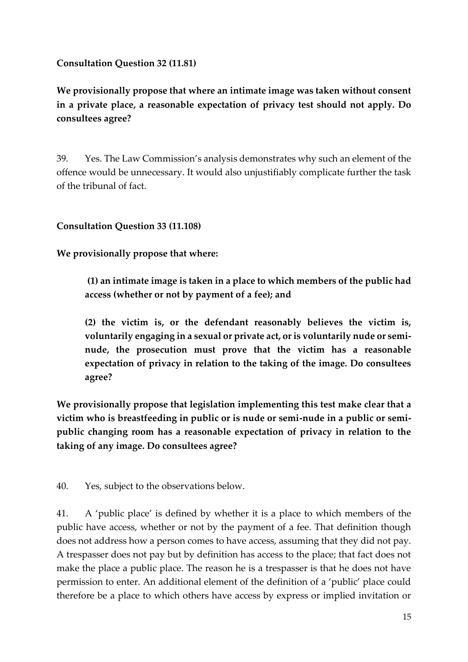### **Consultation Question 32 (11.81)**

**We provisionally propose that where an intimate image was taken without consent in a private place, a reasonable expectation of privacy test should not apply. Do consultees agree?**

39. Yes. The Law Commission's analysis demonstrates why such an element of the offence would be unnecessary. It would also unjustifiably complicate further the task of the tribunal of fact.

### **Consultation Question 33 (11.108)**

**We provisionally propose that where:**

**(1) an intimate image is taken in a place to which members of the public had access (whether or not by payment of a fee); and** 

**(2) the victim is, or the defendant reasonably believes the victim is, voluntarily engaging in a sexual or private act, or is voluntarily nude or seminude, the prosecution must prove that the victim has a reasonable expectation of privacy in relation to the taking of the image. Do consultees agree?** 

**We provisionally propose that legislation implementing this test make clear that a victim who is breastfeeding in public or is nude or semi-nude in a public or semipublic changing room has a reasonable expectation of privacy in relation to the taking of any image. Do consultees agree?**

40. Yes, subject to the observations below.

41. A 'public place' is defined by whether it is a place to which members of the public have access, whether or not by the payment of a fee. That definition though does not address how a person comes to have access, assuming that they did not pay. A trespasser does not pay but by definition has access to the place; that fact does not make the place a public place. The reason he is a trespasser is that he does not have permission to enter. An additional element of the definition of a 'public' place could therefore be a place to which others have access by express or implied invitation or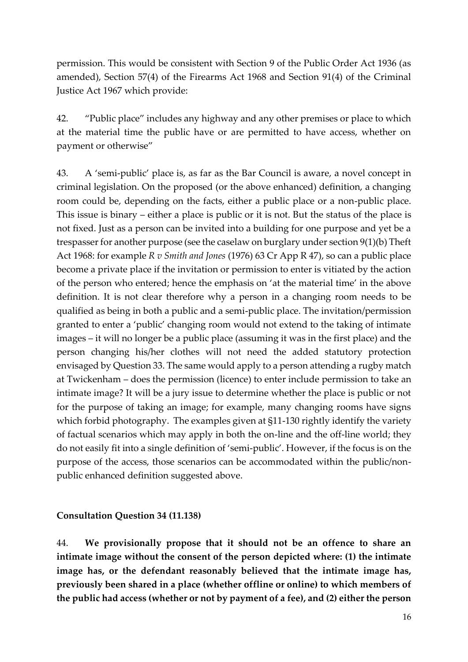permission. This would be consistent with Section 9 of the Public Order Act 1936 (as amended), Section 57(4) of the Firearms Act 1968 and Section 91(4) of the Criminal Justice Act 1967 which provide:

42. "Public place" includes any highway and any other premises or place to which at the material time the public have or are permitted to have access, whether on payment or otherwise"

43. A 'semi-public' place is, as far as the Bar Council is aware, a novel concept in criminal legislation. On the proposed (or the above enhanced) definition, a changing room could be, depending on the facts, either a public place or a non-public place. This issue is binary – either a place is public or it is not. But the status of the place is not fixed. Just as a person can be invited into a building for one purpose and yet be a trespasser for another purpose (see the caselaw on burglary under section 9(1)(b) Theft Act 1968: for example *R v Smith and Jones* (1976) 63 Cr App R 47), so can a public place become a private place if the invitation or permission to enter is vitiated by the action of the person who entered; hence the emphasis on 'at the material time' in the above definition. It is not clear therefore why a person in a changing room needs to be qualified as being in both a public and a semi-public place. The invitation/permission granted to enter a 'public' changing room would not extend to the taking of intimate images – it will no longer be a public place (assuming it was in the first place) and the person changing his/her clothes will not need the added statutory protection envisaged by Question 33. The same would apply to a person attending a rugby match at Twickenham – does the permission (licence) to enter include permission to take an intimate image? It will be a jury issue to determine whether the place is public or not for the purpose of taking an image; for example, many changing rooms have signs which forbid photography. The examples given at §11-130 rightly identify the variety of factual scenarios which may apply in both the on-line and the off-line world; they do not easily fit into a single definition of 'semi-public'. However, if the focus is on the purpose of the access, those scenarios can be accommodated within the public/nonpublic enhanced definition suggested above.

#### **Consultation Question 34 (11.138)**

44. **We provisionally propose that it should not be an offence to share an intimate image without the consent of the person depicted where: (1) the intimate image has, or the defendant reasonably believed that the intimate image has, previously been shared in a place (whether offline or online) to which members of the public had access (whether or not by payment of a fee), and (2) either the person**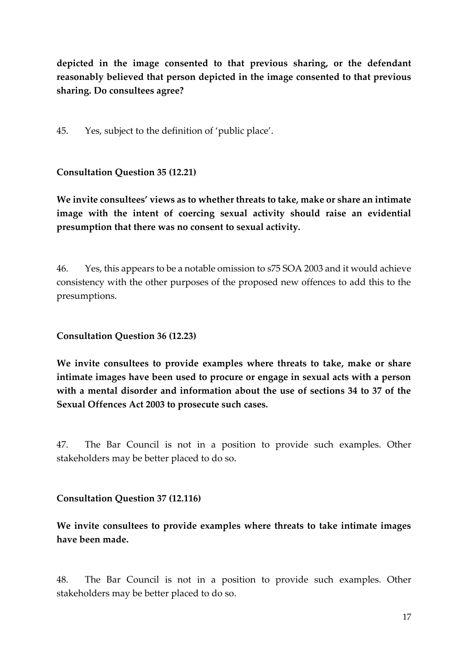**depicted in the image consented to that previous sharing, or the defendant reasonably believed that person depicted in the image consented to that previous sharing. Do consultees agree?**

45. Yes, subject to the definition of 'public place'.

**Consultation Question 35 (12.21)** 

**We invite consultees' views as to whether threats to take, make or share an intimate image with the intent of coercing sexual activity should raise an evidential presumption that there was no consent to sexual activity.**

46. Yes, this appears to be a notable omission to s75 SOA 2003 and it would achieve consistency with the other purposes of the proposed new offences to add this to the presumptions.

**Consultation Question 36 (12.23)** 

**We invite consultees to provide examples where threats to take, make or share intimate images have been used to procure or engage in sexual acts with a person with a mental disorder and information about the use of sections 34 to 37 of the Sexual Offences Act 2003 to prosecute such cases.**

47. The Bar Council is not in a position to provide such examples. Other stakeholders may be better placed to do so.

**Consultation Question 37 (12.116)** 

**We invite consultees to provide examples where threats to take intimate images have been made.**

48. The Bar Council is not in a position to provide such examples. Other stakeholders may be better placed to do so.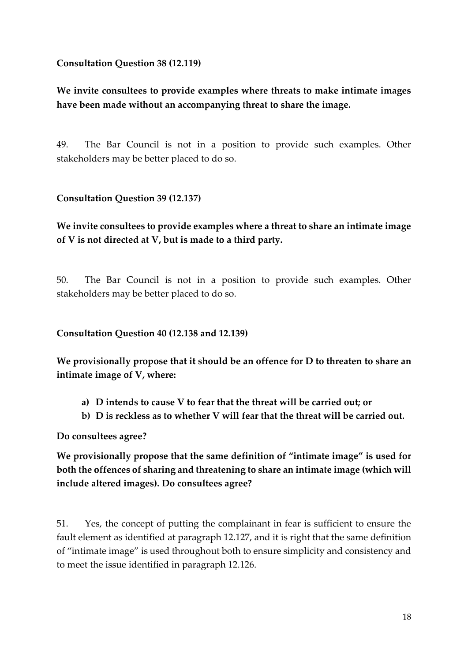**Consultation Question 38 (12.119)** 

**We invite consultees to provide examples where threats to make intimate images have been made without an accompanying threat to share the image.**

49. The Bar Council is not in a position to provide such examples. Other stakeholders may be better placed to do so.

### **Consultation Question 39 (12.137)**

# **We invite consultees to provide examples where a threat to share an intimate image of V is not directed at V, but is made to a third party.**

50. The Bar Council is not in a position to provide such examples. Other stakeholders may be better placed to do so.

#### **Consultation Question 40 (12.138 and 12.139)**

**We provisionally propose that it should be an offence for D to threaten to share an intimate image of V, where:**

- **a) D intends to cause V to fear that the threat will be carried out; or**
- **b) D is reckless as to whether V will fear that the threat will be carried out.**

**Do consultees agree?**

**We provisionally propose that the same definition of "intimate image" is used for both the offences of sharing and threatening to share an intimate image (which will include altered images). Do consultees agree?**

51. Yes, the concept of putting the complainant in fear is sufficient to ensure the fault element as identified at paragraph 12.127, and it is right that the same definition of "intimate image" is used throughout both to ensure simplicity and consistency and to meet the issue identified in paragraph 12.126.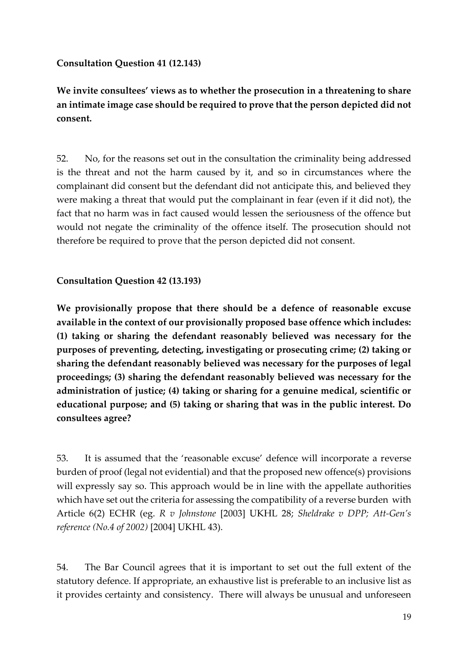#### **Consultation Question 41 (12.143)**

**We invite consultees' views as to whether the prosecution in a threatening to share an intimate image case should be required to prove that the person depicted did not consent.**

52. No, for the reasons set out in the consultation the criminality being addressed is the threat and not the harm caused by it, and so in circumstances where the complainant did consent but the defendant did not anticipate this, and believed they were making a threat that would put the complainant in fear (even if it did not), the fact that no harm was in fact caused would lessen the seriousness of the offence but would not negate the criminality of the offence itself. The prosecution should not therefore be required to prove that the person depicted did not consent.

**Consultation Question 42 (13.193)**

**We provisionally propose that there should be a defence of reasonable excuse available in the context of our provisionally proposed base offence which includes: (1) taking or sharing the defendant reasonably believed was necessary for the purposes of preventing, detecting, investigating or prosecuting crime; (2) taking or sharing the defendant reasonably believed was necessary for the purposes of legal proceedings; (3) sharing the defendant reasonably believed was necessary for the administration of justice; (4) taking or sharing for a genuine medical, scientific or educational purpose; and (5) taking or sharing that was in the public interest. Do consultees agree?**

53. It is assumed that the 'reasonable excuse' defence will incorporate a reverse burden of proof (legal not evidential) and that the proposed new offence(s) provisions will expressly say so. This approach would be in line with the appellate authorities which have set out the criteria for assessing the compatibility of a reverse burden with Article 6(2) ECHR (eg. *R v Johnstone* [2003] UKHL 28; *Sheldrake v DPP; Att-Gen's reference (No.4 of 2002)* [2004] UKHL 43).

54. The Bar Council agrees that it is important to set out the full extent of the statutory defence. If appropriate, an exhaustive list is preferable to an inclusive list as it provides certainty and consistency. There will always be unusual and unforeseen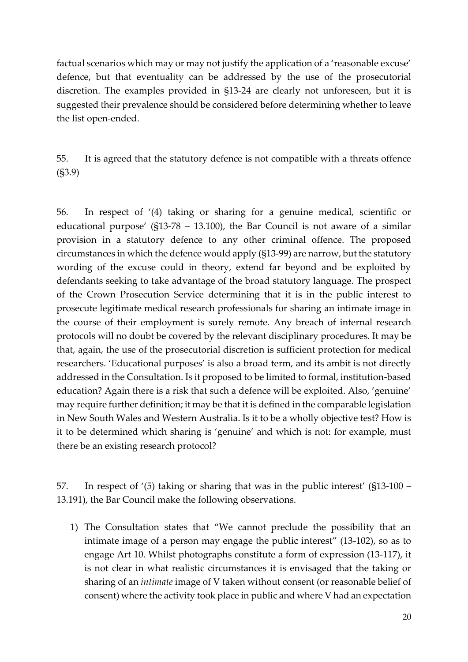factual scenarios which may or may not justify the application of a 'reasonable excuse' defence, but that eventuality can be addressed by the use of the prosecutorial discretion. The examples provided in §13-24 are clearly not unforeseen, but it is suggested their prevalence should be considered before determining whether to leave the list open-ended.

55. It is agreed that the statutory defence is not compatible with a threats offence (§3.9)

56. In respect of '(4) taking or sharing for a genuine medical, scientific or educational purpose' (§13-78 – 13.100), the Bar Council is not aware of a similar provision in a statutory defence to any other criminal offence. The proposed circumstances in which the defence would apply (§13-99) are narrow, but the statutory wording of the excuse could in theory, extend far beyond and be exploited by defendants seeking to take advantage of the broad statutory language. The prospect of the Crown Prosecution Service determining that it is in the public interest to prosecute legitimate medical research professionals for sharing an intimate image in the course of their employment is surely remote. Any breach of internal research protocols will no doubt be covered by the relevant disciplinary procedures. It may be that, again, the use of the prosecutorial discretion is sufficient protection for medical researchers. 'Educational purposes' is also a broad term, and its ambit is not directly addressed in the Consultation. Is it proposed to be limited to formal, institution-based education? Again there is a risk that such a defence will be exploited. Also, 'genuine' may require further definition; it may be that it is defined in the comparable legislation in New South Wales and Western Australia. Is it to be a wholly objective test? How is it to be determined which sharing is 'genuine' and which is not: for example, must there be an existing research protocol?

57. In respect of '(5) taking or sharing that was in the public interest' (§13-100 – 13.191), the Bar Council make the following observations.

1) The Consultation states that "We cannot preclude the possibility that an intimate image of a person may engage the public interest" (13-102), so as to engage Art 10. Whilst photographs constitute a form of expression (13-117), it is not clear in what realistic circumstances it is envisaged that the taking or sharing of an *intimate* image of V taken without consent (or reasonable belief of consent) where the activity took place in public and where V had an expectation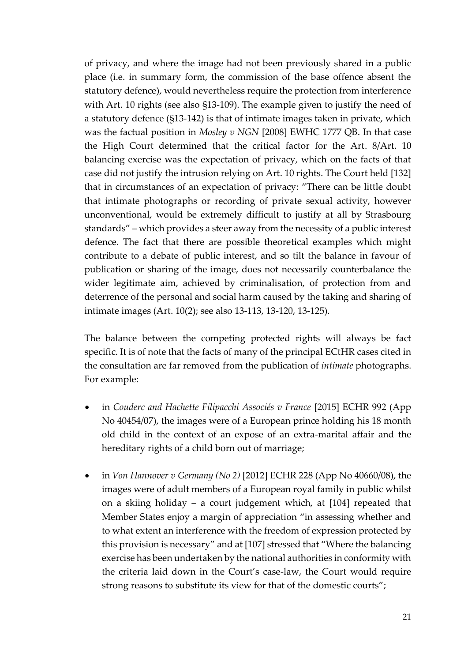of privacy, and where the image had not been previously shared in a public place (i.e. in summary form, the commission of the base offence absent the statutory defence), would nevertheless require the protection from interference with Art. 10 rights (see also §13-109). The example given to justify the need of a statutory defence (§13-142) is that of intimate images taken in private, which was the factual position in *Mosley v NGN* [2008] EWHC 1777 QB. In that case the High Court determined that the critical factor for the Art. 8/Art. 10 balancing exercise was the expectation of privacy, which on the facts of that case did not justify the intrusion relying on Art. 10 rights. The Court held [132] that in circumstances of an expectation of privacy: "There can be little doubt that intimate photographs or recording of private sexual activity, however unconventional, would be extremely difficult to justify at all by Strasbourg standards" – which provides a steer away from the necessity of a public interest defence. The fact that there are possible theoretical examples which might contribute to a debate of public interest, and so tilt the balance in favour of publication or sharing of the image, does not necessarily counterbalance the wider legitimate aim, achieved by criminalisation, of protection from and deterrence of the personal and social harm caused by the taking and sharing of intimate images (Art. 10(2); see also 13-113, 13-120, 13-125).

The balance between the competing protected rights will always be fact specific. It is of note that the facts of many of the principal ECtHR cases cited in the consultation are far removed from the publication of *intimate* photographs. For example:

- in *Couderc and Hachette Filipacchi Associés v France* [2015] ECHR 992 (App No 40454/07), the images were of a European prince holding his 18 month old child in the context of an expose of an extra-marital affair and the hereditary rights of a child born out of marriage;
- in *Von Hannover v Germany (No 2)* [2012] ECHR 228 (App No 40660/08), the images were of adult members of a European royal family in public whilst on a skiing holiday – a court judgement which, at [104] repeated that Member States enjoy a margin of appreciation "in assessing whether and to what extent an interference with the freedom of expression protected by this provision is necessary" and at [107] stressed that "Where the balancing exercise has been undertaken by the national authorities in conformity with the criteria laid down in the Court's case-law, the Court would require strong reasons to substitute its view for that of the domestic courts";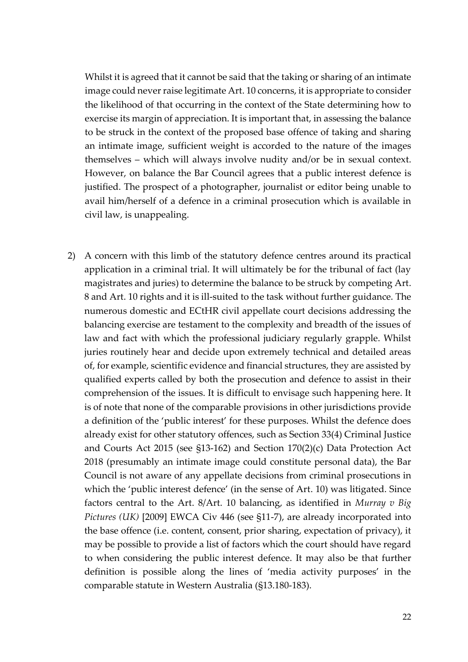Whilst it is agreed that it cannot be said that the taking or sharing of an intimate image could never raise legitimate Art. 10 concerns, it is appropriate to consider the likelihood of that occurring in the context of the State determining how to exercise its margin of appreciation. It is important that, in assessing the balance to be struck in the context of the proposed base offence of taking and sharing an intimate image, sufficient weight is accorded to the nature of the images themselves – which will always involve nudity and/or be in sexual context. However, on balance the Bar Council agrees that a public interest defence is justified. The prospect of a photographer, journalist or editor being unable to avail him/herself of a defence in a criminal prosecution which is available in civil law, is unappealing.

2) A concern with this limb of the statutory defence centres around its practical application in a criminal trial. It will ultimately be for the tribunal of fact (lay magistrates and juries) to determine the balance to be struck by competing Art. 8 and Art. 10 rights and it is ill-suited to the task without further guidance. The numerous domestic and ECtHR civil appellate court decisions addressing the balancing exercise are testament to the complexity and breadth of the issues of law and fact with which the professional judiciary regularly grapple. Whilst juries routinely hear and decide upon extremely technical and detailed areas of, for example, scientific evidence and financial structures, they are assisted by qualified experts called by both the prosecution and defence to assist in their comprehension of the issues. It is difficult to envisage such happening here. It is of note that none of the comparable provisions in other jurisdictions provide a definition of the 'public interest' for these purposes. Whilst the defence does already exist for other statutory offences, such as Section 33(4) Criminal Justice and Courts Act 2015 (see §13-162) and Section 170(2)(c) Data Protection Act 2018 (presumably an intimate image could constitute personal data), the Bar Council is not aware of any appellate decisions from criminal prosecutions in which the 'public interest defence' (in the sense of Art. 10) was litigated. Since factors central to the Art. 8/Art. 10 balancing, as identified in *Murray v Big Pictures (UK)* [2009] EWCA Civ 446 (see §11-7), are already incorporated into the base offence (i.e. content, consent, prior sharing, expectation of privacy), it may be possible to provide a list of factors which the court should have regard to when considering the public interest defence. It may also be that further definition is possible along the lines of 'media activity purposes' in the comparable statute in Western Australia (§13.180-183).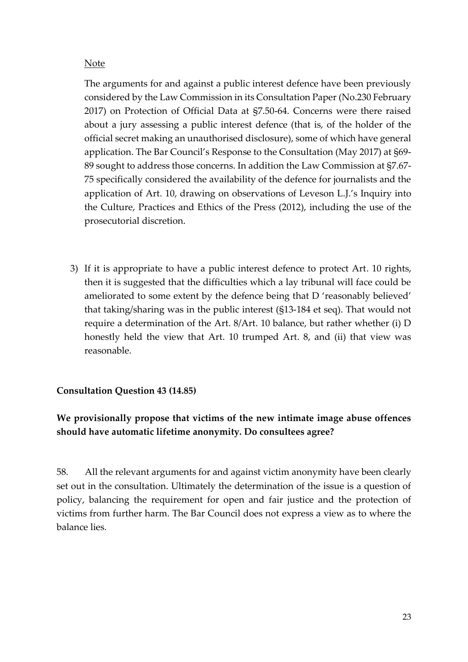#### Note

The arguments for and against a public interest defence have been previously considered by the Law Commission in its Consultation Paper (No.230 February 2017) on Protection of Official Data at §7.50-64. Concerns were there raised about a jury assessing a public interest defence (that is, of the holder of the official secret making an unauthorised disclosure), some of which have general application. The Bar Council's Response to the Consultation (May 2017) at §69- 89 sought to address those concerns. In addition the Law Commission at §7.67- 75 specifically considered the availability of the defence for journalists and the application of Art. 10, drawing on observations of Leveson L.J.'s Inquiry into the Culture, Practices and Ethics of the Press (2012), including the use of the prosecutorial discretion.

3) If it is appropriate to have a public interest defence to protect Art. 10 rights, then it is suggested that the difficulties which a lay tribunal will face could be ameliorated to some extent by the defence being that D 'reasonably believed' that taking/sharing was in the public interest (§13-184 et seq). That would not require a determination of the Art. 8/Art. 10 balance, but rather whether (i) D honestly held the view that Art. 10 trumped Art. 8, and (ii) that view was reasonable.

# **Consultation Question 43 (14.85)**

# **We provisionally propose that victims of the new intimate image abuse offences should have automatic lifetime anonymity. Do consultees agree?**

58. All the relevant arguments for and against victim anonymity have been clearly set out in the consultation. Ultimately the determination of the issue is a question of policy, balancing the requirement for open and fair justice and the protection of victims from further harm. The Bar Council does not express a view as to where the balance lies.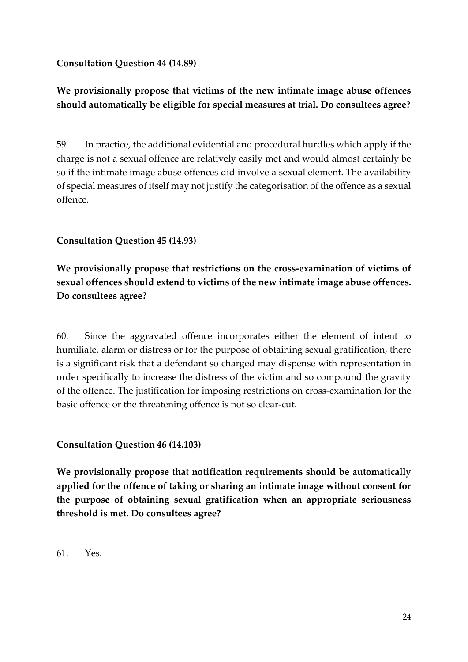### **Consultation Question 44 (14.89)**

# **We provisionally propose that victims of the new intimate image abuse offences should automatically be eligible for special measures at trial. Do consultees agree?**

59. In practice, the additional evidential and procedural hurdles which apply if the charge is not a sexual offence are relatively easily met and would almost certainly be so if the intimate image abuse offences did involve a sexual element. The availability of special measures of itself may not justify the categorisation of the offence as a sexual offence.

### **Consultation Question 45 (14.93)**

**We provisionally propose that restrictions on the cross-examination of victims of sexual offences should extend to victims of the new intimate image abuse offences. Do consultees agree?**

60. Since the aggravated offence incorporates either the element of intent to humiliate, alarm or distress or for the purpose of obtaining sexual gratification, there is a significant risk that a defendant so charged may dispense with representation in order specifically to increase the distress of the victim and so compound the gravity of the offence. The justification for imposing restrictions on cross-examination for the basic offence or the threatening offence is not so clear-cut.

### **Consultation Question 46 (14.103)**

**We provisionally propose that notification requirements should be automatically applied for the offence of taking or sharing an intimate image without consent for the purpose of obtaining sexual gratification when an appropriate seriousness threshold is met. Do consultees agree?**

61. Yes.